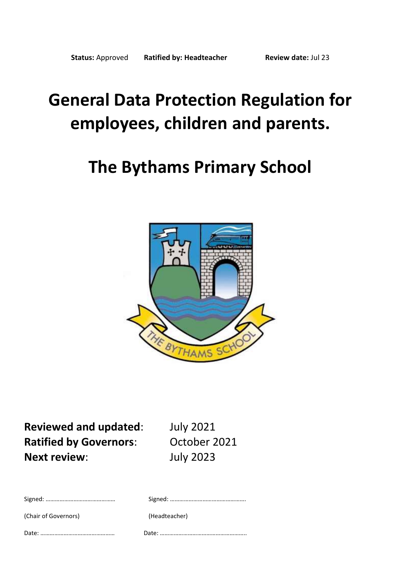# **General Data Protection Regulation for employees, children and parents.**

## **The Bythams Primary School**



**Reviewed and updated**: July 2021 **Ratified by Governors:** October 2021 **Next review**: July 2023

| (Chair of Governors) | (Headteacher) |
|----------------------|---------------|
|                      |               |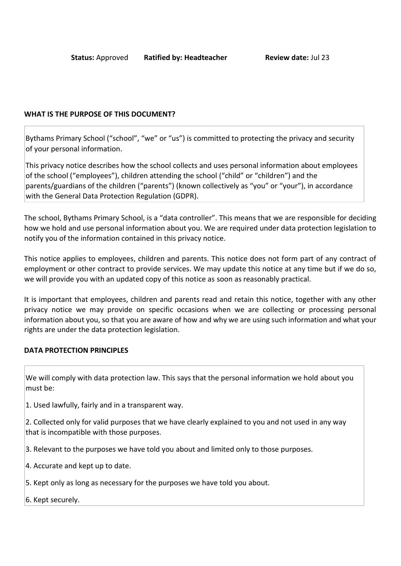#### **WHAT IS THE PURPOSE OF THIS DOCUMENT?**

Bythams Primary School ("school", "we" or "us") is committed to protecting the privacy and security of your personal information.

This privacy notice describes how the school collects and uses personal information about employees of the school ("employees"), children attending the school ("child" or "children") and the parents/guardians of the children ("parents") (known collectively as "you" or "your"), in accordance with the General Data Protection Regulation (GDPR).

The school, Bythams Primary School, is a "data controller". This means that we are responsible for deciding how we hold and use personal information about you. We are required under data protection legislation to notify you of the information contained in this privacy notice.

This notice applies to employees, children and parents. This notice does not form part of any contract of employment or other contract to provide services. We may update this notice at any time but if we do so, we will provide you with an updated copy of this notice as soon as reasonably practical.

It is important that employees, children and parents read and retain this notice, together with any other privacy notice we may provide on specific occasions when we are collecting or processing personal information about you, so that you are aware of how and why we are using such information and what your rights are under the data protection legislation.

#### **DATA PROTECTION PRINCIPLES**

We will comply with data protection law. This says that the personal information we hold about you must be:

1. Used lawfully, fairly and in a transparent way.

2. Collected only for valid purposes that we have clearly explained to you and not used in any way that is incompatible with those purposes.

3. Relevant to the purposes we have told you about and limited only to those purposes.

4. Accurate and kept up to date.

5. Kept only as long as necessary for the purposes we have told you about.

6. Kept securely.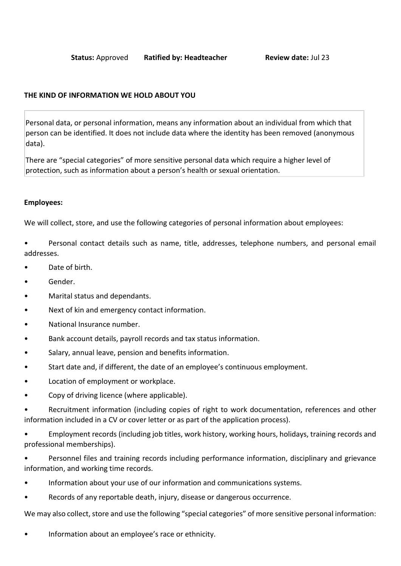## <span id="page-2-0"></span>**THE KIND OF INFORMATION WE HOLD ABOUT YOU**

Personal data, or personal information, means any information about an individual from which that person can be identified. It does not include data where the identity has been removed (anonymous data).

There are "special categories" of more sensitive personal data which require a higher level of protection, such as information about a person's health or sexual orientation.

#### **Employees:**

We will collect, store, and use the following categories of personal information about employees:

• Personal contact details such as name, title, addresses, telephone numbers, and personal email addresses.

- Date of birth.
- Gender.
- Marital status and dependants.
- Next of kin and emergency contact information.
- National Insurance number.
- Bank account details, payroll records and tax status information.
- Salary, annual leave, pension and benefits information.
- Start date and, if different, the date of an employee's continuous employment.
- Location of employment or workplace.
- Copy of driving licence (where applicable).

Recruitment information (including copies of right to work documentation, references and other information included in a CV or cover letter or as part of the application process).

• Employment records (including job titles, work history, working hours, holidays, training records and professional memberships).

• Personnel files and training records including performance information, disciplinary and grievance information, and working time records.

- Information about your use of our information and communications systems.
- Records of any reportable death, injury, disease or dangerous occurrence.

We may also collect, store and use the following "special categories" of more sensitive personal information:

• Information about an employee's race or ethnicity.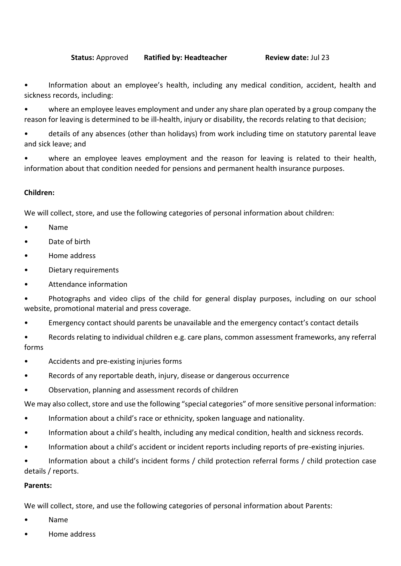Information about an employee's health, including any medical condition, accident, health and sickness records, including:

• where an employee leaves employment and under any share plan operated by a group company the reason for leaving is determined to be ill-health, injury or disability, the records relating to that decision;

• details of any absences (other than holidays) from work including time on statutory parental leave and sick leave; and

where an employee leaves employment and the reason for leaving is related to their health, information about that condition needed for pensions and permanent health insurance purposes.

## **Children:**

We will collect, store, and use the following categories of personal information about children:

- Name
- Date of birth
- Home address
- Dietary requirements
- Attendance information

• Photographs and video clips of the child for general display purposes, including on our school website, promotional material and press coverage.

- Emergency contact should parents be unavailable and the emergency contact's contact details
- Records relating to individual children e.g. care plans, common assessment frameworks, any referral forms
- Accidents and pre-existing injuries forms
- Records of any reportable death, injury, disease or dangerous occurrence
- Observation, planning and assessment records of children

We may also collect, store and use the following "special categories" of more sensitive personal information:

- Information about a child's race or ethnicity, spoken language and nationality.
- Information about a child's health, including any medical condition, health and sickness records.
- Information about a child's accident or incident reports including reports of pre-existing injuries.

• Information about a child's incident forms / child protection referral forms / child protection case details / reports.

## **Parents:**

We will collect, store, and use the following categories of personal information about Parents:

- Name
- Home address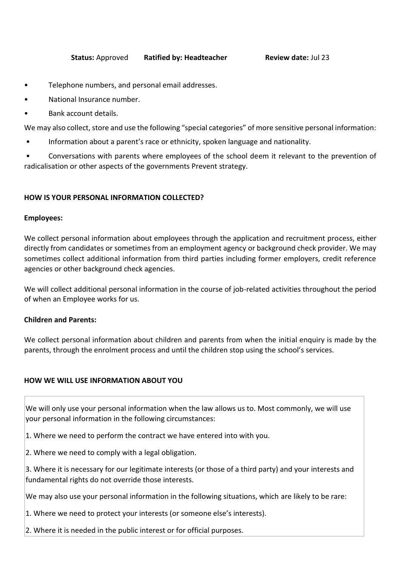- Telephone numbers, and personal email addresses.
- National Insurance number.
- Bank account details.

We may also collect, store and use the following "special categories" of more sensitive personal information:

• Information about a parent's race or ethnicity, spoken language and nationality.

• Conversations with parents where employees of the school deem it relevant to the prevention of radicalisation or other aspects of the governments Prevent strategy.

#### **HOW IS YOUR PERSONAL INFORMATION COLLECTED?**

#### **Employees:**

We collect personal information about employees through the application and recruitment process, either directly from candidates or sometimes from an employment agency or background check provider. We may sometimes collect additional information from third parties including former employers, credit reference agencies or other background check agencies.

We will collect additional personal information in the course of job-related activities throughout the period of when an Employee works for us.

#### **Children and Parents:**

We collect personal information about children and parents from when the initial enquiry is made by the parents, through the enrolment process and until the children stop using the school's services.

## **HOW WE WILL USE INFORMATION ABOUT YOU**

We will only use your personal information when the law allows us to. Most commonly, we will use your personal information in the following circumstances:

- 1. Where we need to perform the contract we have entered into with you.
- 2. Where we need to comply with a legal obligation.
- 3. Where it is necessary for our legitimate interests (or those of a third party) and your interests and fundamental rights do not override those interests.

We may also use your personal information in the following situations, which are likely to be rare:

- 1. Where we need to protect your interests (or someone else's interests).
- 2. Where it is needed in the public interest or for official purposes.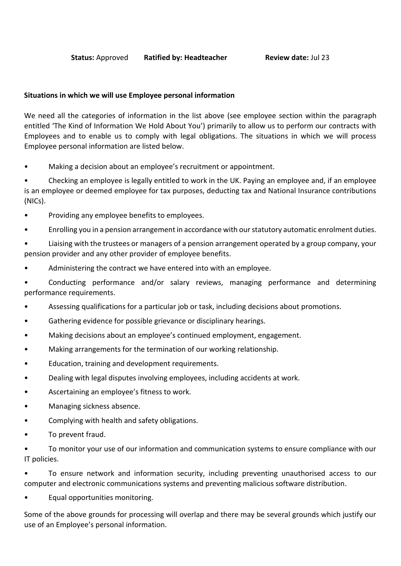## **Situations in which we will use Employee personal information**

We need all the categories of information in the list above (see employee section within the [paragraph](#page-2-0) entitled 'The Kind of Information We Hold About You') primarily to allow us to perform our contracts with Employees and to enable us to comply with legal obligations. The situations in which we will process Employee personal information are listed below.

Making a decision about an employee's recruitment or appointment.

• Checking an employee is legally entitled to work in the UK. Paying an employee and, if an employee is an employee or deemed employee for tax purposes, deducting tax and National Insurance contributions (NICs).

- Providing any employee benefits to employees.
- Enrolling you in a pension arrangement in accordance with our statutory automatic enrolment duties.
- Liaising with the trustees or managers of a pension arrangement operated by a group company, your pension provider and any other provider of employee benefits.
- Administering the contract we have entered into with an employee.

• Conducting performance and/or salary reviews, managing performance and determining performance requirements.

- Assessing qualifications for a particular job or task, including decisions about promotions.
- Gathering evidence for possible grievance or disciplinary hearings.
- Making decisions about an employee's continued employment, engagement.
- Making arrangements for the termination of our working relationship.
- Education, training and development requirements.
- Dealing with legal disputes involving employees, including accidents at work.
- Ascertaining an employee's fitness to work.
- Managing sickness absence.
- Complying with health and safety obligations.
- To prevent fraud.

• To monitor your use of our information and communication systems to ensure compliance with our IT policies.

• To ensure network and information security, including preventing unauthorised access to our computer and electronic communications systems and preventing malicious software distribution.

Equal opportunities monitoring.

Some of the above grounds for processing will overlap and there may be several grounds which justify our use of an Employee's personal information.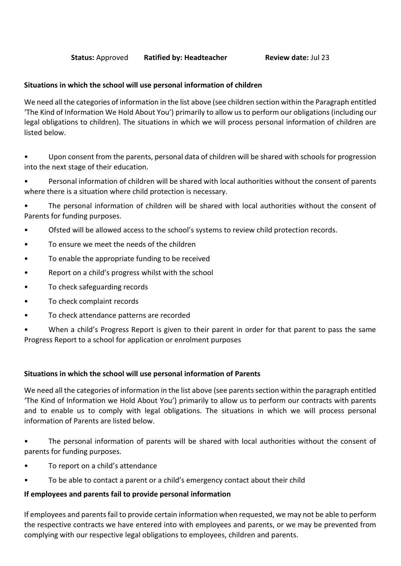## **Situations in which the school will use personal information of children**

We need all the categories of information in the list above (see children section within the Paragraph entitled 'The Kind of Information We Hold About You') primarily to allow us to perform our obligations (including our legal obligations to children). The situations in which we will process personal information of children are listed below.

• Upon consent from the parents, personal data of children will be shared with schools for progression into the next stage of their education.

• Personal information of children will be shared with local authorities without the consent of parents where there is a situation where child protection is necessary.

• The personal information of children will be shared with local authorities without the consent of Parents for funding purposes.

- Ofsted will be allowed access to the school's systems to review child protection records.
- To ensure we meet the needs of the children
- To enable the appropriate funding to be received
- Report on a child's progress whilst with the school
- To check safeguarding records
- To check complaint records
- To check attendance patterns are recorded

• When a child's Progress Report is given to their parent in order for that parent to pass the same Progress Report to a school for application or enrolment purposes

## **Situations in which the school will use personal information of Parents**

We need all the categories of information in the list above (see parents section within the paragraph entitled 'The Kind of Information we Hold About You') primarily to allow us to perform our contracts with parents and to enable us to comply with legal obligations. The situations in which we will process personal information of Parents are listed below.

• The personal information of parents will be shared with local authorities without the consent of parents for funding purposes.

- To report on a child's attendance
- To be able to contact a parent or a child's emergency contact about their child

#### **If employees and parents fail to provide personal information**

If employees and parents fail to provide certain information when requested, we may not be able to perform the respective contracts we have entered into with employees and parents, or we may be prevented from complying with our respective legal obligations to employees, children and parents.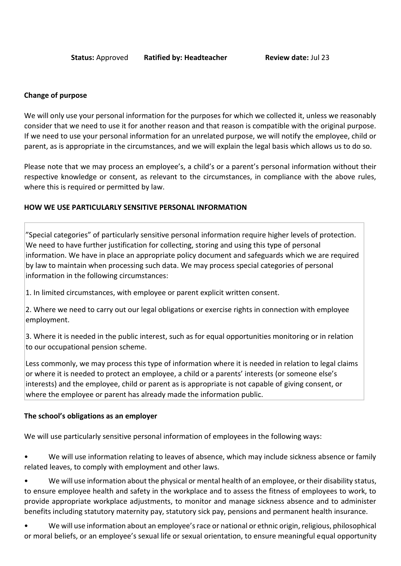#### **Change of purpose**

We will only use your personal information for the purposes for which we collected it, unless we reasonably consider that we need to use it for another reason and that reason is compatible with the original purpose. If we need to use your personal information for an unrelated purpose, we will notify the employee, child or parent, as is appropriate in the circumstances, and we will explain the legal basis which allows us to do so.

Please note that we may process an employee's, a child's or a parent's personal information without their respective knowledge or consent, as relevant to the circumstances, in compliance with the above rules, where this is required or permitted by law.

#### **HOW WE USE PARTICULARLY SENSITIVE PERSONAL INFORMATION**

"Special categories" of particularly sensitive personal information require higher levels of protection. We need to have further justification for collecting, storing and using this type of personal information. We have in place an appropriate policy document and safeguards which we are required by law to maintain when processing such data. We may process special categories of personal information in the following circumstances:

1. In limited circumstances, with employee or parent explicit written consent.

2. Where we need to carry out our legal obligations or exercise rights in connection with employee employment.

3. Where it is needed in the public interest, such as for equal opportunities monitoring or in relation to our occupational pension scheme.

Less commonly, we may process this type of information where it is needed in relation to legal claims or where it is needed to protect an employee, a child or a parents' interests (or someone else's interests) and the employee, child or parent as is appropriate is not capable of giving consent, or where the employee or parent has already made the information public.

#### **The school's obligations as an employer**

We will use particularly sensitive personal information of employees in the following ways:

We will use information relating to leaves of absence, which may include sickness absence or family related leaves, to comply with employment and other laws.

We will use information about the physical or mental health of an employee, or their disability status, to ensure employee health and safety in the workplace and to assess the fitness of employees to work, to provide appropriate workplace adjustments, to monitor and manage sickness absence and to administer benefits including statutory maternity pay, statutory sick pay, pensions and permanent health insurance.

• We will use information about an employee's race or national or ethnic origin, religious, philosophical or moral beliefs, or an employee's sexual life or sexual orientation, to ensure meaningful equal opportunity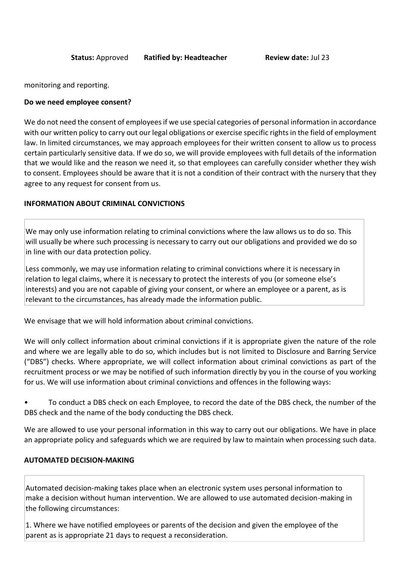monitoring and reporting.

#### **Do we need employee consent?**

We do not need the consent of employees if we use special categories of personal information in accordance with our written policy to carry out our legal obligations or exercise specific rights in the field of employment law. In limited circumstances, we may approach employees for their written consent to allow us to process certain particularly sensitive data. If we do so, we will provide employees with full details of the information that we would like and the reason we need it, so that employees can carefully consider whether they wish to consent. Employees should be aware that it is not a condition of their contract with the nursery that they agree to any request for consent from us.

#### **INFORMATION ABOUT CRIMINAL CONVICTIONS**

We may only use information relating to criminal convictions where the law allows us to do so. This will usually be where such processing is necessary to carry out our obligations and provided we do so in line with our data protection policy.

Less commonly, we may use information relating to criminal convictions where it is necessary in relation to legal claims, where it is necessary to protect the interests of you (or someone else's interests) and you are not capable of giving your consent, or where an employee or a parent, as is relevant to the circumstances, has already made the information public.

We envisage that we will hold information about criminal convictions.

We will only collect information about criminal convictions if it is appropriate given the nature of the role and where we are legally able to do so, which includes but is not limited to Disclosure and Barring Service ("DBS") checks. Where appropriate, we will collect information about criminal convictions as part of the recruitment process or we may be notified of such information directly by you in the course of you working for us. We will use information about criminal convictions and offences in the following ways:

• To conduct a DBS check on each Employee, to record the date of the DBS check, the number of the DBS check and the name of the body conducting the DBS check.

We are allowed to use your personal information in this way to carry out our obligations. We have in place an appropriate policy and safeguards which we are required by law to maintain when processing such data.

## **AUTOMATED DECISION-MAKING**

Automated decision-making takes place when an electronic system uses personal information to make a decision without human intervention. We are allowed to use automated decision-making in the following circumstances:

1. Where we have notified employees or parents of the decision and given the employee of the parent as is appropriate 21 days to request a reconsideration.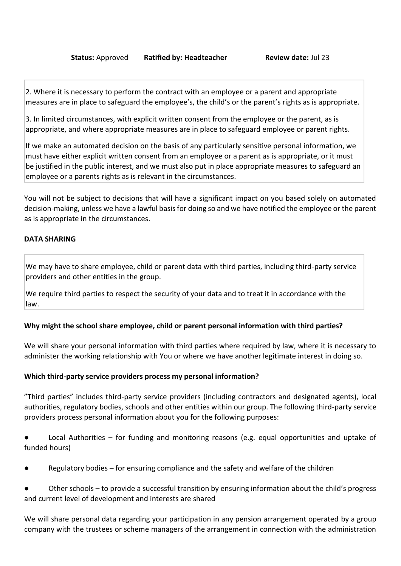2. Where it is necessary to perform the contract with an employee or a parent and appropriate measures are in place to safeguard the employee's, the child's or the parent's rights as is appropriate.

3. In limited circumstances, with explicit written consent from the employee or the parent, as is appropriate, and where appropriate measures are in place to safeguard employee or parent rights.

If we make an automated decision on the basis of any particularly sensitive personal information, we must have either explicit written consent from an employee or a parent as is appropriate, or it must be justified in the public interest, and we must also put in place appropriate measures to safeguard an employee or a parents rights as is relevant in the circumstances.

You will not be subject to decisions that will have a significant impact on you based solely on automated decision-making, unless we have a lawful basis for doing so and we have notified the employee or the parent as is appropriate in the circumstances.

#### **DATA SHARING**

We may have to share employee, child or parent data with third parties, including third-party service providers and other entities in the group.

We require third parties to respect the security of your data and to treat it in accordance with the law.

## **Why might the school share employee, child or parent personal information with third parties?**

We will share your personal information with third parties where required by law, where it is necessary to administer the working relationship with You or where we have another legitimate interest in doing so.

#### **Which third-party service providers process my personal information?**

"Third parties" includes third-party service providers (including contractors and designated agents), local authorities, regulatory bodies, schools and other entities within our group. The following third-party service providers process personal information about you for the following purposes:

Local Authorities – for funding and monitoring reasons (e.g. equal opportunities and uptake of funded hours)

- Regulatory bodies for ensuring compliance and the safety and welfare of the children
- Other schools to provide a successful transition by ensuring information about the child's progress and current level of development and interests are shared

We will share personal data regarding your participation in any pension arrangement operated by a group company with the trustees or scheme managers of the arrangement in connection with the administration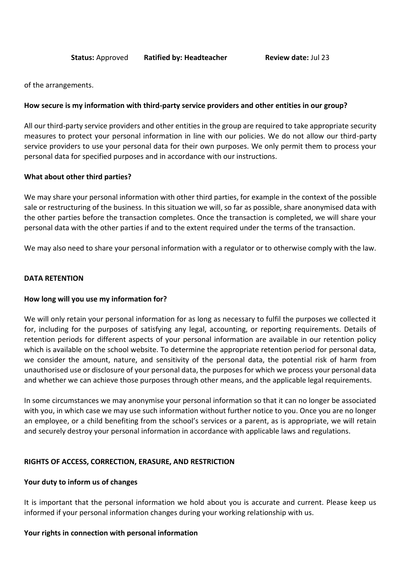of the arrangements.

#### **How secure is my information with third-party service providers and other entities in our group?**

All our third-party service providers and other entities in the group are required to take appropriate security measures to protect your personal information in line with our policies. We do not allow our third-party service providers to use your personal data for their own purposes. We only permit them to process your personal data for specified purposes and in accordance with our instructions.

#### **What about other third parties?**

We may share your personal information with other third parties, for example in the context of the possible sale or restructuring of the business. In this situation we will, so far as possible, share anonymised data with the other parties before the transaction completes. Once the transaction is completed, we will share your personal data with the other parties if and to the extent required under the terms of the transaction.

We may also need to share your personal information with a regulator or to otherwise comply with the law.

#### **DATA RETENTION**

#### **How long will you use my information for?**

We will only retain your personal information for as long as necessary to fulfil the purposes we collected it for, including for the purposes of satisfying any legal, accounting, or reporting requirements. Details of retention periods for different aspects of your personal information are available in our retention policy which is available on the school website. To determine the appropriate retention period for personal data, we consider the amount, nature, and sensitivity of the personal data, the potential risk of harm from unauthorised use or disclosure of your personal data, the purposes for which we process your personal data and whether we can achieve those purposes through other means, and the applicable legal requirements.

In some circumstances we may anonymise your personal information so that it can no longer be associated with you, in which case we may use such information without further notice to you. Once you are no longer an employee, or a child benefiting from the school's services or a parent, as is appropriate, we will retain and securely destroy your personal information in accordance with applicable laws and regulations.

#### **RIGHTS OF ACCESS, CORRECTION, ERASURE, AND RESTRICTION**

#### **Your duty to inform us of changes**

It is important that the personal information we hold about you is accurate and current. Please keep us informed if your personal information changes during your working relationship with us.

#### **Your rights in connection with personal information**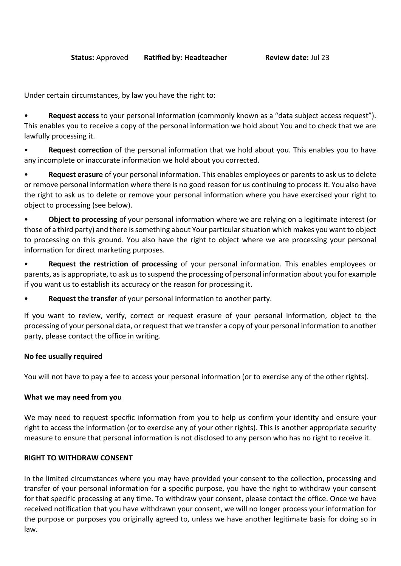Under certain circumstances, by law you have the right to:

• **Request access** to your personal information (commonly known as a "data subject access request"). This enables you to receive a copy of the personal information we hold about You and to check that we are lawfully processing it.

• **Request correction** of the personal information that we hold about you. This enables you to have any incomplete or inaccurate information we hold about you corrected.

• **Request erasure** of your personal information. This enables employees or parents to ask us to delete or remove personal information where there is no good reason for us continuing to process it. You also have the right to ask us to delete or remove your personal information where you have exercised your right to object to processing (see below).

• **Object to processing** of your personal information where we are relying on a legitimate interest (or those of a third party) and there is something about Your particular situation which makes you want to object to processing on this ground. You also have the right to object where we are processing your personal information for direct marketing purposes.

• **Request the restriction of processing** of your personal information. This enables employees or parents, as is appropriate, to ask us to suspend the processing of personal information about you for example if you want us to establish its accuracy or the reason for processing it.

• **Request the transfer** of your personal information to another party.

If you want to review, verify, correct or request erasure of your personal information, object to the processing of your personal data, or request that we transfer a copy of your personal information to another party, please contact the office in writing.

## **No fee usually required**

You will not have to pay a fee to access your personal information (or to exercise any of the other rights).

#### **What we may need from you**

We may need to request specific information from you to help us confirm your identity and ensure your right to access the information (or to exercise any of your other rights). This is another appropriate security measure to ensure that personal information is not disclosed to any person who has no right to receive it.

#### **RIGHT TO WITHDRAW CONSENT**

In the limited circumstances where you may have provided your consent to the collection, processing and transfer of your personal information for a specific purpose, you have the right to withdraw your consent for that specific processing at any time. To withdraw your consent, please contact the office. Once we have received notification that you have withdrawn your consent, we will no longer process your information for the purpose or purposes you originally agreed to, unless we have another legitimate basis for doing so in law.